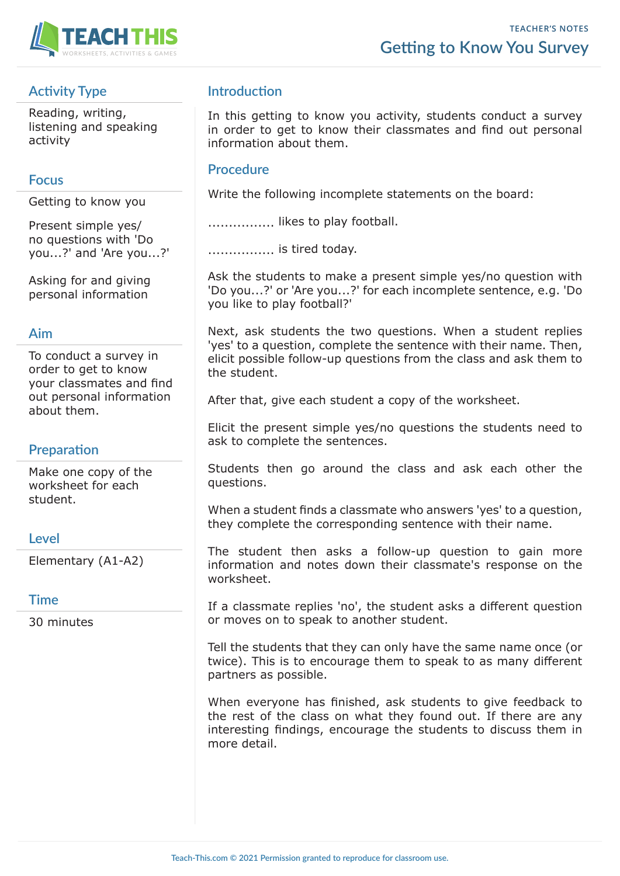

# **Activity Type**

Reading, writing, listening and speaking activity

#### **Focus**

Getting to know you

Present simple yes/ no questions with 'Do you...?' and 'Are you...?'

Asking for and giving personal information

#### **Aim**

To conduct a survey in order to get to know your classmates and find out personal information about them.

### **Preparation**

Make one copy of the worksheet for each student.

### **Level**

Elementary (A1-A2)

### **Time**

30 minutes

## **Introduction**

In this getting to know you activity, students conduct a survey in order to get to know their classmates and find out personal information about them.

#### **Procedure**

Write the following incomplete statements on the board:

.................... likes to play football.

................ is tired today.

Ask the students to make a present simple yes/no question with 'Do you...?' or 'Are you...?' for each incomplete sentence, e.g. 'Do you like to play football?'

Next, ask students the two questions. When a student replies 'yes' to a question, complete the sentence with their name. Then, elicit possible follow-up questions from the class and ask them to the student.

After that, give each student a copy of the worksheet.

Elicit the present simple yes/no questions the students need to ask to complete the sentences.

Students then go around the class and ask each other the questions.

When a student finds a classmate who answers 'yes' to a question, they complete the corresponding sentence with their name.

The student then asks a follow-up question to gain more information and notes down their classmate's response on the worksheet.

If a classmate replies 'no', the student asks a different question or moves on to speak to another student.

Tell the students that they can only have the same name once (or twice). This is to encourage them to speak to as many different partners as possible.

When everyone has finished, ask students to give feedback to the rest of the class on what they found out. If there are any interesting findings, encourage the students to discuss them in more detail.